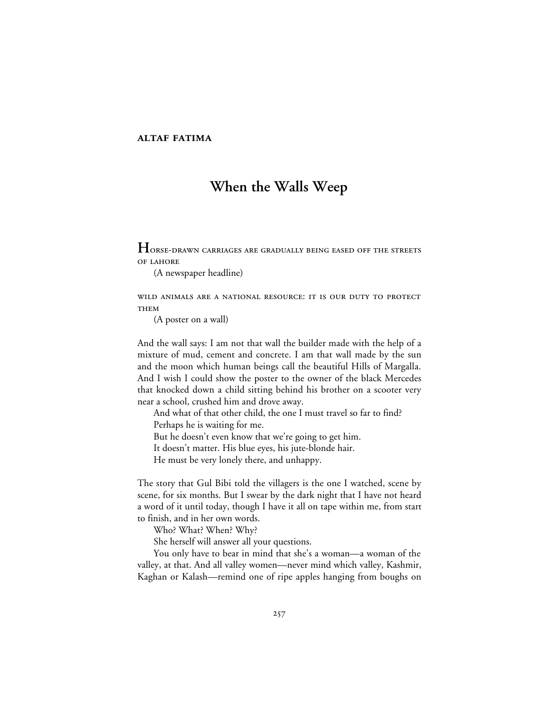## **ALTAF FATIMA**

# **When the Walls Weep**

HORSE-DRAWN CARRIAGES ARE GRADUALLY BEING EASED OFF THE STREETS OF LAHORE

(A newspaper headline)

WILD ANIMALS ARE A NATIONAL RESOURCE: IT IS OUR DUTY TO PROTECT **THEM** 

(A poster on a wall)

And the wall says: I am not that wall the builder made with the help of a mixture of mud, cement and concrete. I am that wall made by the sun and the moon which human beings call the beautiful Hills of Margalla. And I wish I could show the poster to the owner of the black Mercedes that knocked down a child sitting behind his brother on a scooter very near a school, crushed him and drove away.

And what of that other child, the one I must travel so far to find? Perhaps he is waiting for me.

But he doesn't even know that we're going to get him.

It doesn't matter. His blue eyes, his jute-blonde hair.

He must be very lonely there, and unhappy.

The story that Gul Bibi told the villagers is the one I watched, scene by scene, for six months. But I swear by the dark night that I have not heard a word of it until today, though I have it all on tape within me, from start to finish, and in her own words.

Who? What? When? Why?

She herself will answer all your questions.

You only have to bear in mind that she's a woman—a woman of the valley, at that. And all valley women—never mind which valley, Kashmir, Kaghan or Kalash—remind one of ripe apples hanging from boughs on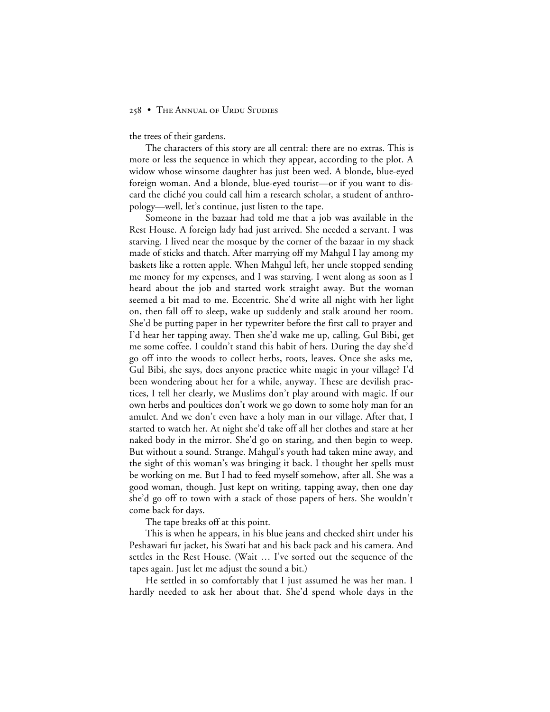#### 258 • THE ANNUAL OF URDU STUDIES

the trees of their gardens.

The characters of this story are all central: there are no extras. This is more or less the sequence in which they appear, according to the plot. A widow whose winsome daughter has just been wed. A blonde, blue-eyed foreign woman. And a blonde, blue-eyed tourist—or if you want to discard the cliché you could call him a research scholar, a student of anthropology—well, let's continue, just listen to the tape.

Someone in the bazaar had told me that a job was available in the Rest House. A foreign lady had just arrived. She needed a servant. I was starving. I lived near the mosque by the corner of the bazaar in my shack made of sticks and thatch. After marrying off my Mahgul I lay among my baskets like a rotten apple. When Mahgul left, her uncle stopped sending me money for my expenses, and I was starving. I went along as soon as I heard about the job and started work straight away. But the woman seemed a bit mad to me. Eccentric. She'd write all night with her light on, then fall off to sleep, wake up suddenly and stalk around her room. She'd be putting paper in her typewriter before the first call to prayer and I'd hear her tapping away. Then she'd wake me up, calling, Gul Bibi, get me some coffee. I couldn't stand this habit of hers. During the day she'd go off into the woods to collect herbs, roots, leaves. Once she asks me, Gul Bibi, she says, does anyone practice white magic in your village? I'd been wondering about her for a while, anyway. These are devilish practices, I tell her clearly, we Muslims don't play around with magic. If our own herbs and poultices don't work we go down to some holy man for an amulet. And we don't even have a holy man in our village. After that, I started to watch her. At night she'd take off all her clothes and stare at her naked body in the mirror. She'd go on staring, and then begin to weep. But without a sound. Strange. Mahgul's youth had taken mine away, and the sight of this woman's was bringing it back. I thought her spells must be working on me. But I had to feed myself somehow, after all. She was a good woman, though. Just kept on writing, tapping away, then one day she'd go off to town with a stack of those papers of hers. She wouldn't come back for days.

The tape breaks off at this point.

This is when he appears, in his blue jeans and checked shirt under his Peshawari fur jacket, his Swati hat and his back pack and his camera. And settles in the Rest House. (Wait … I've sorted out the sequence of the tapes again. Just let me adjust the sound a bit.)

He settled in so comfortably that I just assumed he was her man. I hardly needed to ask her about that. She'd spend whole days in the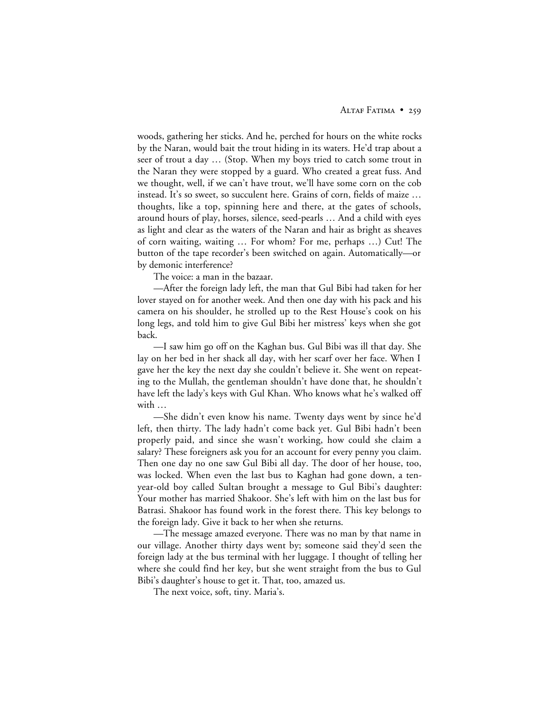woods, gathering her sticks. And he, perched for hours on the white rocks by the Naran, would bait the trout hiding in its waters. He'd trap about a seer of trout a day … (Stop. When my boys tried to catch some trout in the Naran they were stopped by a guard. Who created a great fuss. And we thought, well, if we can't have trout, we'll have some corn on the cob instead. It's so sweet, so succulent here. Grains of corn, fields of maize … thoughts, like a top, spinning here and there, at the gates of schools, around hours of play, horses, silence, seed-pearls … And a child with eyes as light and clear as the waters of the Naran and hair as bright as sheaves of corn waiting, waiting … For whom? For me, perhaps …) Cut! The button of the tape recorder's been switched on again. Automatically—or by demonic interference?

The voice: a man in the bazaar.

—After the foreign lady left, the man that Gul Bibi had taken for her lover stayed on for another week. And then one day with his pack and his camera on his shoulder, he strolled up to the Rest House's cook on his long legs, and told him to give Gul Bibi her mistress' keys when she got back.

—I saw him go off on the Kaghan bus. Gul Bibi was ill that day. She lay on her bed in her shack all day, with her scarf over her face. When I gave her the key the next day she couldn't believe it. She went on repeating to the Mullah, the gentleman shouldn't have done that, he shouldn't have left the lady's keys with Gul Khan. Who knows what he's walked off with …

—She didn't even know his name. Twenty days went by since he'd left, then thirty. The lady hadn't come back yet. Gul Bibi hadn't been properly paid, and since she wasn't working, how could she claim a salary? These foreigners ask you for an account for every penny you claim. Then one day no one saw Gul Bibi all day. The door of her house, too, was locked. When even the last bus to Kaghan had gone down, a tenyear-old boy called Sultan brought a message to Gul Bibi's daughter: Your mother has married Shakoor. She's left with him on the last bus for Batrasi. Shakoor has found work in the forest there. This key belongs to the foreign lady. Give it back to her when she returns.

—The message amazed everyone. There was no man by that name in our village. Another thirty days went by; someone said they'd seen the foreign lady at the bus terminal with her luggage. I thought of telling her where she could find her key, but she went straight from the bus to Gul Bibi's daughter's house to get it. That, too, amazed us.

The next voice, soft, tiny. Maria's.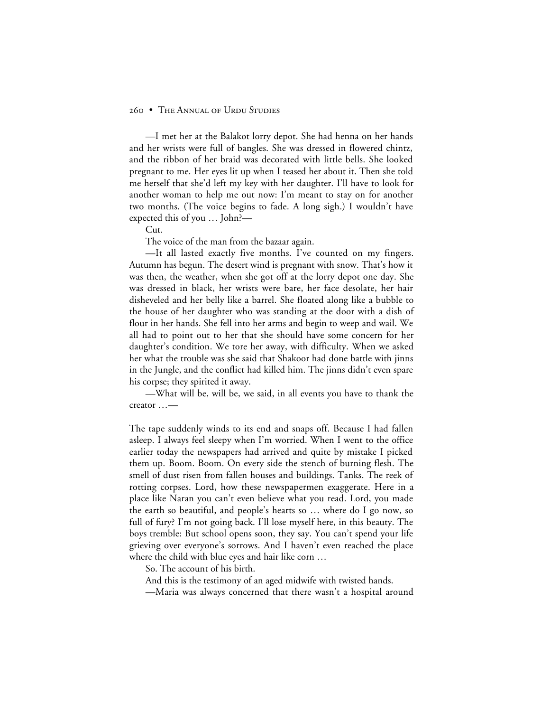## 260 • THE ANNUAL OF URDU STUDIES

—I met her at the Balakot lorry depot. She had henna on her hands and her wrists were full of bangles. She was dressed in flowered chintz, and the ribbon of her braid was decorated with little bells. She looked pregnant to me. Her eyes lit up when I teased her about it. Then she told me herself that she'd left my key with her daughter. I'll have to look for another woman to help me out now: I'm meant to stay on for another two months. (The voice begins to fade. A long sigh.) I wouldn't have expected this of you … John?—

Cut.

The voice of the man from the bazaar again.

—It all lasted exactly five months. I've counted on my fingers. Autumn has begun. The desert wind is pregnant with snow. That's how it was then, the weather, when she got off at the lorry depot one day. She was dressed in black, her wrists were bare, her face desolate, her hair disheveled and her belly like a barrel. She floated along like a bubble to the house of her daughter who was standing at the door with a dish of flour in her hands. She fell into her arms and begin to weep and wail. We all had to point out to her that she should have some concern for her daughter's condition. We tore her away, with difficulty. When we asked her what the trouble was she said that Shakoor had done battle with jinns in the Jungle, and the conflict had killed him. The jinns didn't even spare his corpse; they spirited it away.

—What will be, will be, we said, in all events you have to thank the creator …—

The tape suddenly winds to its end and snaps off. Because I had fallen asleep. I always feel sleepy when I'm worried. When I went to the office earlier today the newspapers had arrived and quite by mistake I picked them up. Boom. Boom. On every side the stench of burning flesh. The smell of dust risen from fallen houses and buildings. Tanks. The reek of rotting corpses. Lord, how these newspapermen exaggerate. Here in a place like Naran you can't even believe what you read. Lord, you made the earth so beautiful, and people's hearts so … where do I go now, so full of fury? I'm not going back. I'll lose myself here, in this beauty. The boys tremble: But school opens soon, they say. You can't spend your life grieving over everyone's sorrows. And I haven't even reached the place where the child with blue eyes and hair like corn …

So. The account of his birth.

And this is the testimony of an aged midwife with twisted hands.

—Maria was always concerned that there wasn't a hospital around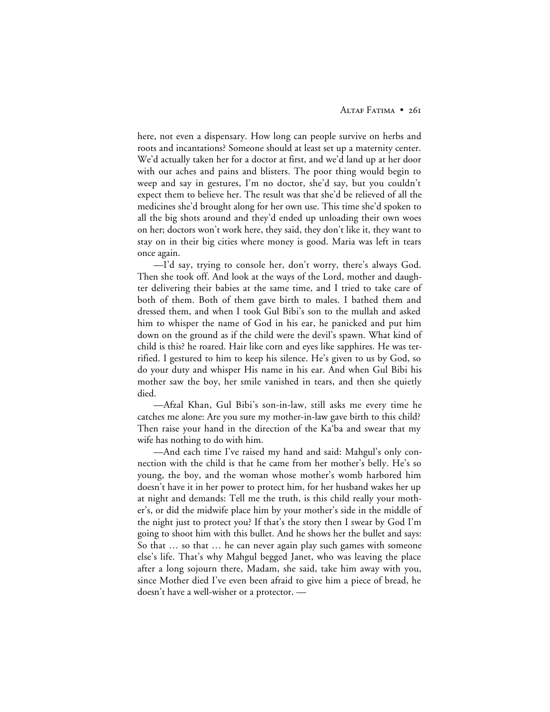here, not even a dispensary. How long can people survive on herbs and roots and incantations? Someone should at least set up a maternity center. We'd actually taken her for a doctor at first, and we'd land up at her door with our aches and pains and blisters. The poor thing would begin to weep and say in gestures, I'm no doctor, she'd say, but you couldn't expect them to believe her. The result was that she'd be relieved of all the medicines she'd brought along for her own use. This time she'd spoken to all the big shots around and they'd ended up unloading their own woes on her; doctors won't work here, they said, they don't like it, they want to stay on in their big cities where money is good. Maria was left in tears once again.

—I'd say, trying to console her, don't worry, there's always God. Then she took off. And look at the ways of the Lord, mother and daughter delivering their babies at the same time, and I tried to take care of both of them. Both of them gave birth to males. I bathed them and dressed them, and when I took Gul Bibi's son to the mullah and asked him to whisper the name of God in his ear, he panicked and put him down on the ground as if the child were the devil's spawn. What kind of child is this? he roared. Hair like corn and eyes like sapphires. He was terrified. I gestured to him to keep his silence. He's given to us by God, so do your duty and whisper His name in his ear. And when Gul Bibi his mother saw the boy, her smile vanished in tears, and then she quietly died.

—Afzal Khan, Gul Bibi's son-in-law, still asks me every time he catches me alone: Are you sure my mother-in-law gave birth to this child? Then raise your hand in the direction of the Ka'ba and swear that my wife has nothing to do with him.

—And each time I've raised my hand and said: Mahgul's only connection with the child is that he came from her mother's belly. He's so young, the boy, and the woman whose mother's womb harbored him doesn't have it in her power to protect him, for her husband wakes her up at night and demands: Tell me the truth, is this child really your mother's, or did the midwife place him by your mother's side in the middle of the night just to protect you? If that's the story then I swear by God I'm going to shoot him with this bullet. And he shows her the bullet and says: So that … so that … he can never again play such games with someone else's life. That's why Mahgul begged Janet, who was leaving the place after a long sojourn there, Madam, she said, take him away with you, since Mother died I've even been afraid to give him a piece of bread, he doesn't have a well-wisher or a protector. —